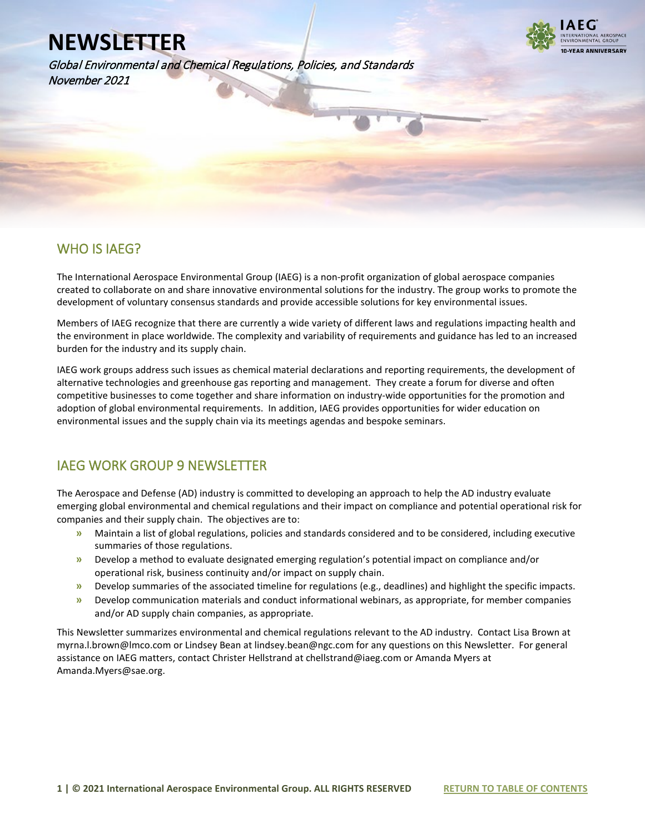Global Environmental and Chemical Regulations, Policies, and Standards November 2021



### WHO IS IAEG?

l

The International Aerospace Environmental Group (IAEG) is a non-profit organization of global aerospace companies created to collaborate on and share innovative environmental solutions for the industry. The group works to promote the development of voluntary consensus standards and provide accessible solutions for key environmental issues.

Members of IAEG recognize that there are currently a wide variety of different laws and regulations impacting health and the environment in place worldwide. The complexity and variability of requirements and guidance has led to an increased burden for the industry and its supply chain.

IAEG work groups address such issues as chemical material declarations and reporting requirements, the development of alternative technologies and greenhouse gas reporting and management. They create a forum for diverse and often competitive businesses to come together and share information on industry-wide opportunities for the promotion and adoption of global environmental requirements. In addition, IAEG provides opportunities for wider education on environmental issues and the supply chain via its meetings agendas and bespoke seminars.

### IAEG WORK GROUP 9 NEWSLETTER

The Aerospace and Defense (AD) industry is committed to developing an approach to help the AD industry evaluate emerging global environmental and chemical regulations and their impact on compliance and potential operational risk for companies and their supply chain. The objectives are to:

- **»** Maintain a list of global regulations, policies and standards considered and to be considered, including executive summaries of those regulations.
- **»** Develop a method to evaluate designated emerging regulation's potential impact on compliance and/or operational risk, business continuity and/or impact on supply chain.
- **»** Develop summaries of the associated timeline for regulations (e.g., deadlines) and highlight the specific impacts.
- **»** Develop communication materials and conduct informational webinars, as appropriate, for member companies and/or AD supply chain companies, as appropriate.

This Newsletter summarizes environmental and chemical regulations relevant to the AD industry. Contact Lisa Brown at myrna.l.brown@lmco.com or Lindsey Bean at lindsey.bean@ngc.com for any questions on this Newsletter. For general assistance on IAEG matters, contact Christer Hellstrand at chellstrand@iaeg.com or Amanda Myers at Amanda.Myers@sae.org.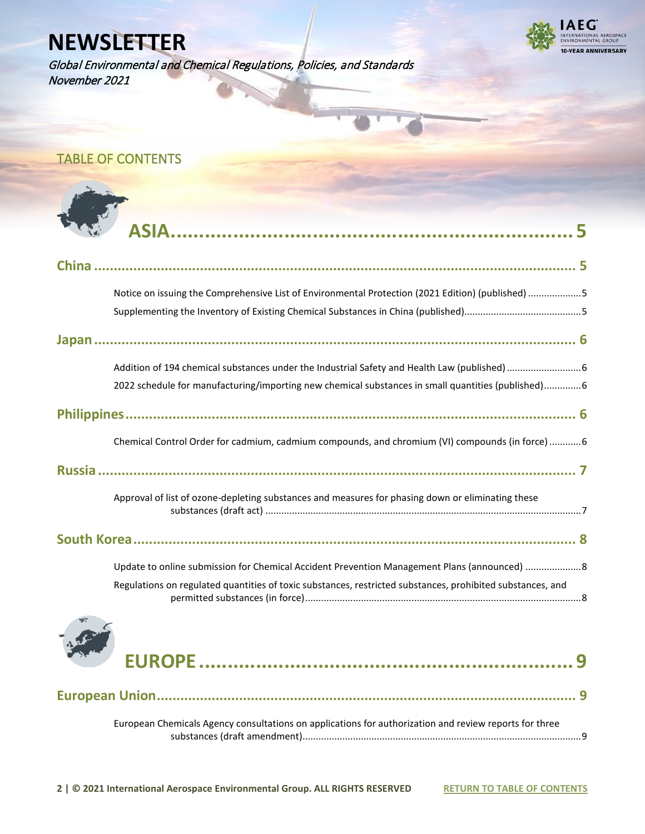Global Environmental and Chemical Regulations, Policies, and Standards November 2021



# <span id="page-1-0"></span>TABLE OF CONTENTS

| Notice on issuing the Comprehensive List of Environmental Protection (2021 Edition) (published) 5          |
|------------------------------------------------------------------------------------------------------------|
|                                                                                                            |
| 2022 schedule for manufacturing/importing new chemical substances in small quantities (published)6         |
|                                                                                                            |
| Chemical Control Order for cadmium, cadmium compounds, and chromium (VI) compounds (in force)  6           |
|                                                                                                            |
| Approval of list of ozone-depleting substances and measures for phasing down or eliminating these          |
|                                                                                                            |
| Update to online submission for Chemical Accident Prevention Management Plans (announced) 8                |
| Regulations on regulated quantities of toxic substances, restricted substances, prohibited substances, and |
|                                                                                                            |



| European Chemicals Agency consultations on applications for authorization and review reports for three |  |
|--------------------------------------------------------------------------------------------------------|--|
|                                                                                                        |  |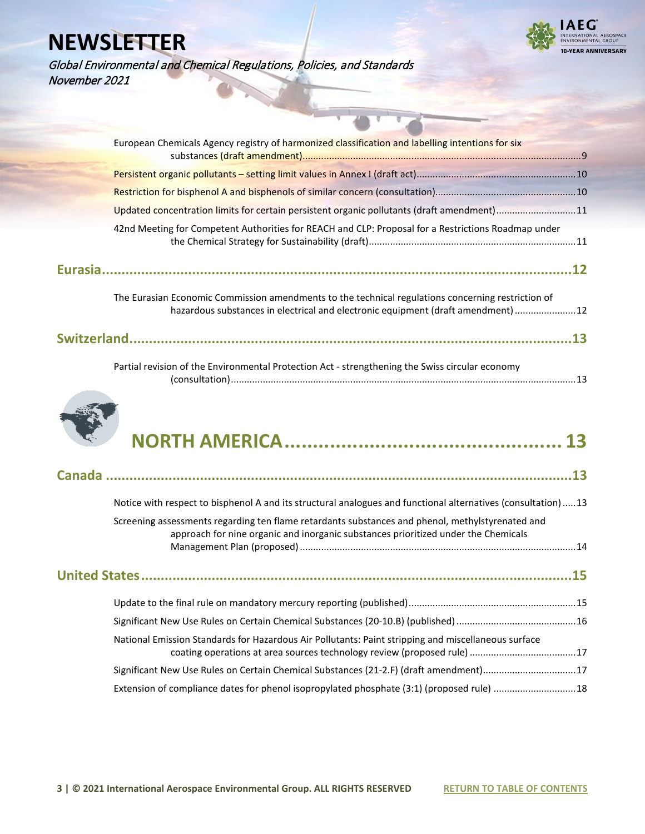

Global Environmental and Chemical Regulations, Policies, and Standards November 2021

| European Chemicals Agency registry of harmonized classification and labelling intentions for six                                                                                        |  |
|-----------------------------------------------------------------------------------------------------------------------------------------------------------------------------------------|--|
|                                                                                                                                                                                         |  |
|                                                                                                                                                                                         |  |
|                                                                                                                                                                                         |  |
| Updated concentration limits for certain persistent organic pollutants (draft amendment)11                                                                                              |  |
| 42nd Meeting for Competent Authorities for REACH and CLP: Proposal for a Restrictions Roadmap under                                                                                     |  |
|                                                                                                                                                                                         |  |
| The Eurasian Economic Commission amendments to the technical regulations concerning restriction of<br>hazardous substances in electrical and electronic equipment (draft amendment)  12 |  |
|                                                                                                                                                                                         |  |





|--|--|

|                                                                                                                                                                                        | .13 |
|----------------------------------------------------------------------------------------------------------------------------------------------------------------------------------------|-----|
| Notice with respect to bisphenol A and its structural analogues and functional alternatives (consultation)13                                                                           |     |
| Screening assessments regarding ten flame retardants substances and phenol, methylstyrenated and<br>approach for nine organic and inorganic substances prioritized under the Chemicals |     |
|                                                                                                                                                                                        |     |
|                                                                                                                                                                                        |     |
|                                                                                                                                                                                        |     |
| National Emission Standards for Hazardous Air Pollutants: Paint stripping and miscellaneous surface                                                                                    |     |
| Significant New Use Rules on Certain Chemical Substances (21-2.F) (draft amendment)17                                                                                                  |     |
| Extension of compliance dates for phenol isopropylated phosphate (3:1) (proposed rule) 18                                                                                              |     |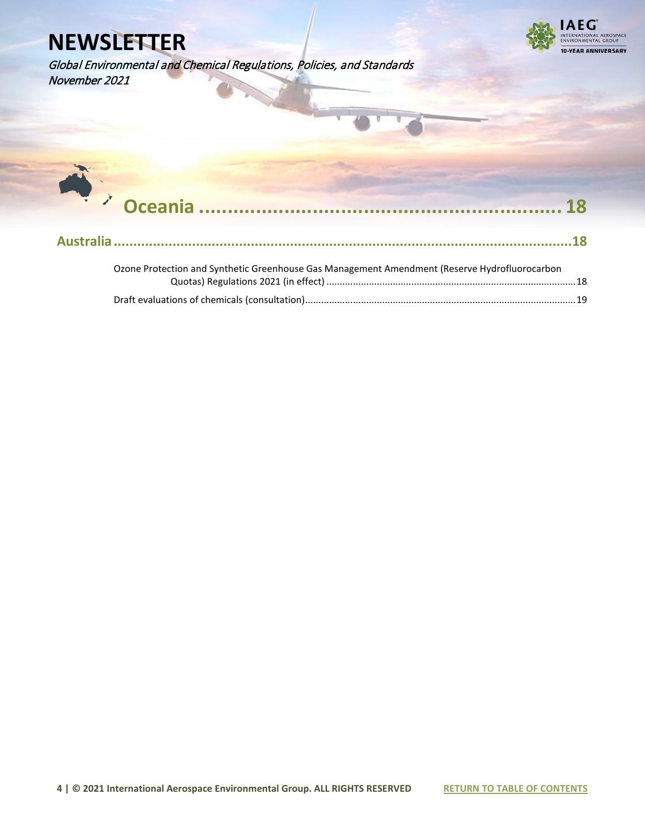November 2021

Global Environmental and Chemical Regulations, Policies, and Standards



 **[Oceania ................................................................](#page-17-0) [18](#page-17-0) [Australia.....................................................................................................................18](#page-17-1)**

| Ozone Protection and Synthetic Greenhouse Gas Management Amendment (Reserve Hydrofluorocarbon |  |  |
|-----------------------------------------------------------------------------------------------|--|--|
|                                                                                               |  |  |
|                                                                                               |  |  |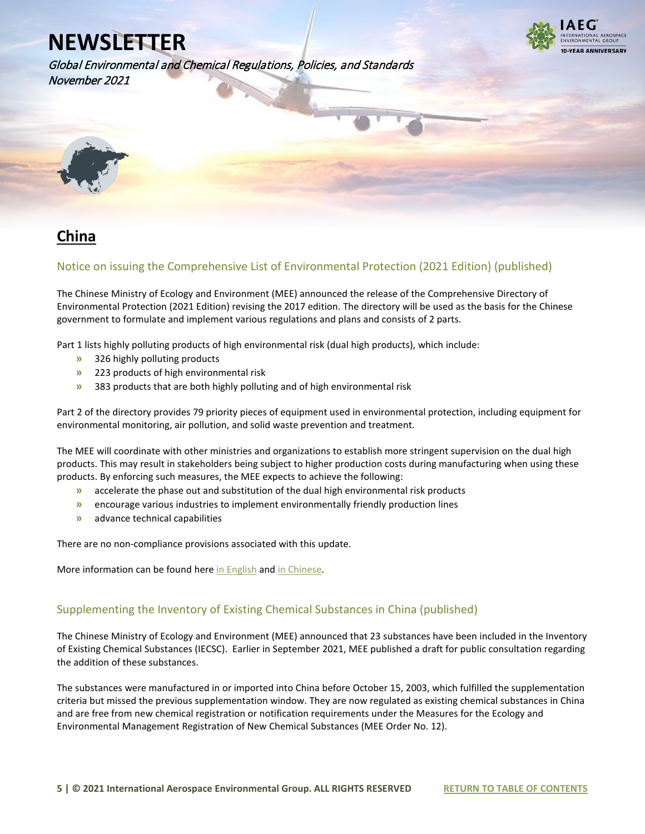



<span id="page-4-0"></span>

### <span id="page-4-1"></span>**China**

#### <span id="page-4-2"></span>Notice on issuing the Comprehensive List of Environmental Protection (2021 Edition) (published)

The Chinese Ministry of Ecology and Environment (MEE) announced the release of the Comprehensive Directory of Environmental Protection (2021 Edition) revising the 2017 edition. The directory will be used as the basis for the Chinese government to formulate and implement various regulations and plans and consists of 2 parts.

Part 1 lists highly polluting products of high environmental risk (dual high products), which include:

- **»** 326 highly polluting products
- **»** 223 products of high environmental risk
- **»** 383 products that are both highly polluting and of high environmental risk

Part 2 of the directory provides 79 priority pieces of equipment used in environmental protection, including equipment for environmental monitoring, air pollution, and solid waste prevention and treatment.

The MEE will coordinate with other ministries and organizations to establish more stringent supervision on the dual high products. This may result in stakeholders being subject to higher production costs during manufacturing when using these products. By enforcing such measures, the MEE expects to achieve the following:

- **»** accelerate the phase out and substitution of the dual high environmental risk products
- **»** encourage various industries to implement environmentally friendly production lines
- **»** advance technical capabilities

There are no non-compliance provisions associated with this update.

More information can be found her[e in English](https://www.iaeg.com/elements/pdf/CHN_Comprehensive_List_of_Environmental_Protection_english.pdf) an[d in Chinese.](https://www.mee.gov.cn/xxgk2018/xxgk/xxgk06/202111/t20211102_958837.html) 

#### <span id="page-4-3"></span>Supplementing the Inventory of Existing Chemical Substances in China (published)

The Chinese Ministry of Ecology and Environment (MEE) announced that 23 substances have been included in the Inventory of Existing Chemical Substances (IECSC). Earlier in September 2021, MEE published a draft for public consultation regarding the addition of these substances.

The substances were manufactured in or imported into China before October 15, 2003, which fulfilled the supplementation criteria but missed the previous supplementation window. They are now regulated as existing chemical substances in China and are free from new chemical registration or notification requirements under the Measures for the Ecology and Environmental Management Registration of New Chemical Substances (MEE Order No. 12).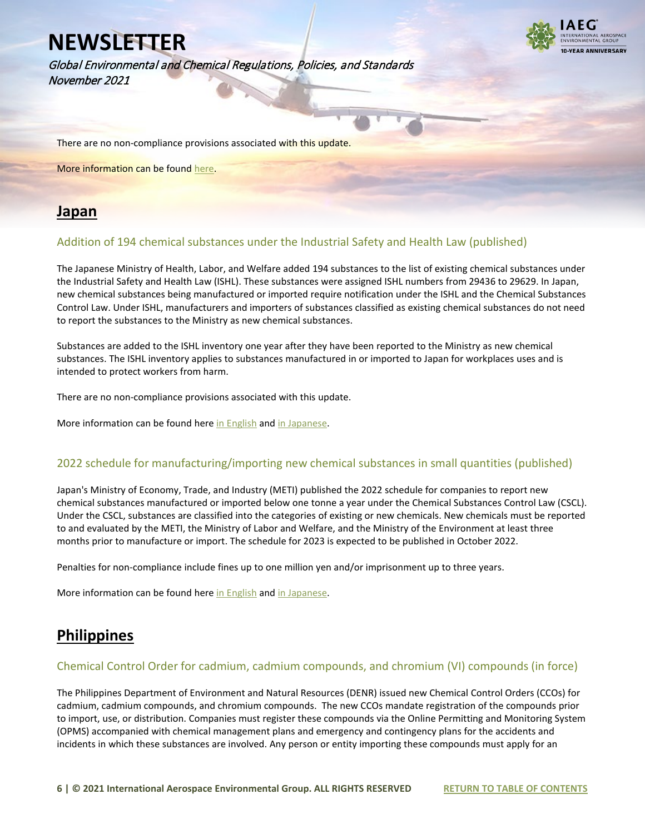Global Environmental and Chemical Regulations, Policies, and Standards November 2021



There are no non-compliance provisions associated with this update.

More information can be foun[d here.](https://www.iaeg.com/elements/pdf/CHN_IECSC_Update_english.pdf)

### <span id="page-5-0"></span>**Japan**

#### <span id="page-5-1"></span>Addition of 194 chemical substances under the Industrial Safety and Health Law (published)

The Japanese Ministry of Health, Labor, and Welfare added 194 substances to the list of existing chemical substances under the Industrial Safety and Health Law (ISHL). These substances were assigned ISHL numbers from 29436 to 29629. In Japan, new chemical substances being manufactured or imported require notification under the ISHL and the Chemical Substances Control Law. Under ISHL, manufacturers and importers of substances classified as existing chemical substances do not need to report the substances to the Ministry as new chemical substances.

Substances are added to the ISHL inventory one year after they have been reported to the Ministry as new chemical substances. The ISHL inventory applies to substances manufactured in or imported to Japan for workplaces uses and is intended to protect workers from harm.

There are no non-compliance provisions associated with this update.

More information can be found here [in English](https://www.iaeg.com/elements/pdf/JPN_ISHL_Inventory_update_english.pdf) an[d in Japanese.](https://anzeninfo.mhlw.go.jp/anzen_pg/KAG_FND.aspx)

#### <span id="page-5-2"></span>2022 schedule for manufacturing/importing new chemical substances in small quantities (published)

Japan's Ministry of Economy, Trade, and Industry (METI) published the 2022 schedule for companies to report new chemical substances manufactured or imported below one tonne a year under the Chemical Substances Control Law (CSCL). Under the CSCL, substances are classified into the categories of existing or new chemicals. New chemicals must be reported to and evaluated by the METI, the Ministry of Labor and Welfare, and the Ministry of the Environment at least three months prior to manufacture or import. The schedule for 2023 is expected to be published in October 2022.

Penalties for non-compliance include fines up to one million yen and/or imprisonment up to three years.

More information can be found her[e in English](https://www.iaeg.com/elements/pdf/JPN_2022_CSCL_Notification_Schedule_for_Small_Quantities_english.pdf) an[d in Japanese.](https://www.meti.go.jp/policy/chemical_management/kasinhou/files/information/shinki/R4uketsukenittei.pdf)

### <span id="page-5-3"></span>**Philippines**

#### <span id="page-5-4"></span>Chemical Control Order for cadmium, cadmium compounds, and chromium (VI) compounds (in force)

The Philippines Department of Environment and Natural Resources (DENR) issued new Chemical Control Orders (CCOs) for cadmium, cadmium compounds, and chromium compounds. The new CCOs mandate registration of the compounds prior to import, use, or distribution. Companies must register these compounds via the Online Permitting and Monitoring System (OPMS) accompanied with chemical management plans and emergency and contingency plans for the accidents and incidents in which these substances are involved. Any person or entity importing these compounds must apply for an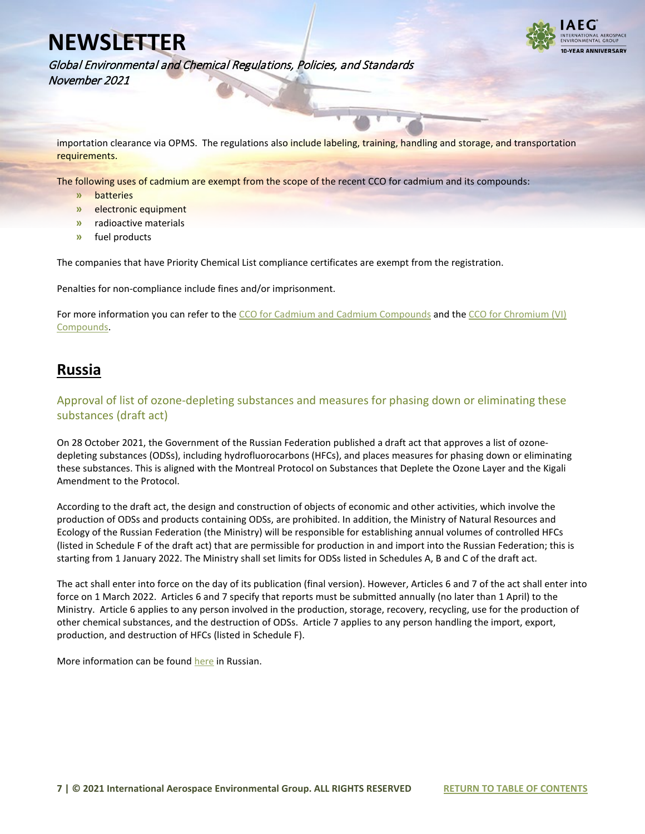

Global Environmental and Chemical Regulations, Policies, and Standards November 2021

importation clearance via OPMS. The regulations also include labeling, training, handling and storage, and transportation requirements.

The following uses of cadmium are exempt from the scope of the recent CCO for cadmium and its compounds:

- **»** batteries
- **»** electronic equipment
- **»** radioactive materials
- **»** fuel products

The companies that have Priority Chemical List compliance certificates are exempt from the registration.

Penalties for non-compliance include fines and/or imprisonment.

For more information you can refer to the [CCO for Cadmium and Cadmium Compounds](https://chemical.emb.gov.ph/wp-content/uploads/2021/05/DAO-2021-08-CCO-Cadmium.pdf) and the [CCO for Chromium \(VI\)](https://chemical.emb.gov.ph/wp-content/uploads/2021/05/DAO-2021-09-CCO-Chromium-VI.pdf)  [Compounds.](https://chemical.emb.gov.ph/wp-content/uploads/2021/05/DAO-2021-09-CCO-Chromium-VI.pdf)

### <span id="page-6-0"></span>**Russia**

<span id="page-6-1"></span>Approval of list of ozone-depleting substances and measures for phasing down or eliminating these substances (draft act)

On 28 October 2021, the Government of the Russian Federation published a draft act that approves a list of ozonedepleting substances (ODSs), including hydrofluorocarbons (HFCs), and places measures for phasing down or eliminating these substances. This is aligned with the Montreal Protocol on Substances that Deplete the Ozone Layer and the Kigali Amendment to the Protocol.

According to the draft act, the design and construction of objects of economic and other activities, which involve the production of ODSs and products containing ODSs, are prohibited. In addition, the Ministry of Natural Resources and Ecology of the Russian Federation (the Ministry) will be responsible for establishing annual volumes of controlled HFCs (listed in Schedule F of the draft act) that are permissible for production in and import into the Russian Federation; this is starting from 1 January 2022. The Ministry shall set limits for ODSs listed in Schedules A, B and C of the draft act.

The act shall enter into force on the day of its publication (final version). However, Articles 6 and 7 of the act shall enter into force on 1 March 2022. Articles 6 and 7 specify that reports must be submitted annually (no later than 1 April) to the Ministry. Article 6 applies to any person involved in the production, storage, recovery, recycling, use for the production of other chemical substances, and the destruction of ODSs. Article 7 applies to any person handling the import, export, production, and destruction of HFCs (listed in Schedule F).

<span id="page-6-2"></span>More information can be foun[d here](https://regulation.gov.ru/projects#npa=121963) in Russian.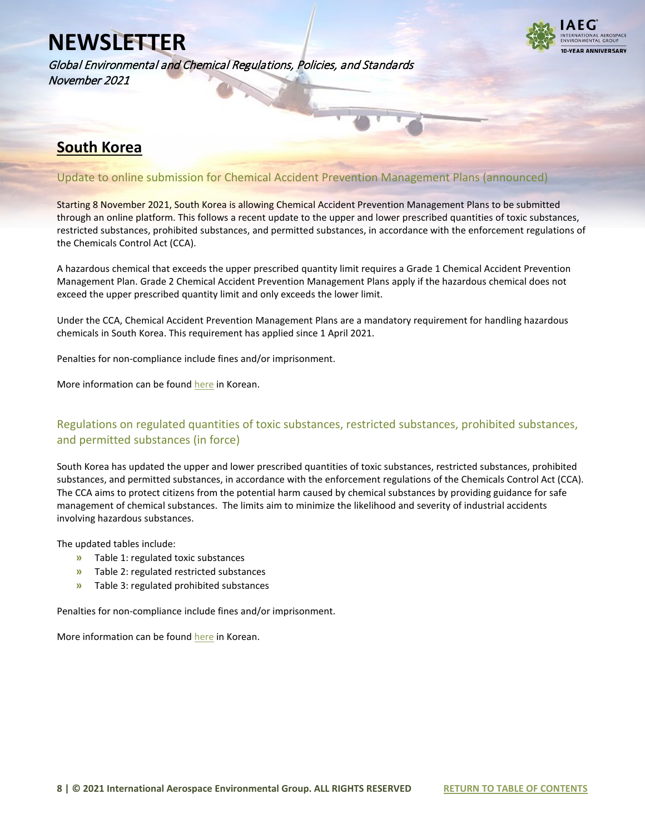Global Environmental and Chemical Regulations, Policies, and Standards November 2021



### **South Korea**

#### <span id="page-7-0"></span>Update to online submission for Chemical Accident Prevention Management Plans (announced)

Starting 8 November 2021, South Korea is allowing Chemical Accident Prevention Management Plans to be submitted through an online platform. This follows a recent update to the upper and lower prescribed quantities of toxic substances, restricted substances, prohibited substances, and permitted substances, in accordance with the enforcement regulations of the Chemicals Control Act (CCA).

A hazardous chemical that exceeds the upper prescribed quantity limit requires a Grade 1 Chemical Accident Prevention Management Plan. Grade 2 Chemical Accident Prevention Management Plans apply if the hazardous chemical does not exceed the upper prescribed quantity limit and only exceeds the lower limit.

Under the CCA, Chemical Accident Prevention Management Plans are a mandatory requirement for handling hazardous chemicals in South Korea. This requirement has applied since 1 April 2021.

Penalties for non-compliance include fines and/or imprisonment.

More information can be foun[d here](https://icis.me.go.kr/cdms/) in Korean.

#### <span id="page-7-1"></span>Regulations on regulated quantities of toxic substances, restricted substances, prohibited substances, and permitted substances (in force)

South Korea has updated the upper and lower prescribed quantities of toxic substances, restricted substances, prohibited substances, and permitted substances, in accordance with the enforcement regulations of the Chemicals Control Act (CCA). The CCA aims to protect citizens from the potential harm caused by chemical substances by providing guidance for safe management of chemical substances. The limits aim to minimize the likelihood and severity of industrial accidents involving hazardous substances.

The updated tables include:

- **»** Table 1: regulated toxic substances
- **»** Table 2: regulated restricted substances
- **»** Table 3: regulated prohibited substances

Penalties for non-compliance include fines and/or imprisonment.

More information can be found [here](https://www.law.go.kr/LSW/admRulLsInfoP.do?chrClsCd=&admRulSeq=2100000205740#AJAX) in Korean.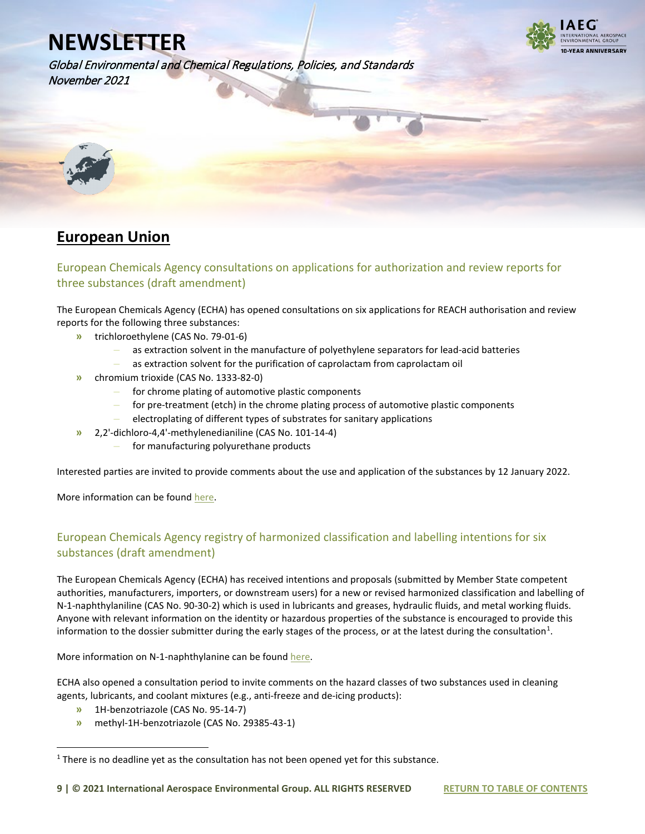**VEAR ANNIVERSARY** 

Global Environmental and Chemical Regulations, Policies, and Standards November 2021

<span id="page-8-0"></span>

### <span id="page-8-1"></span>**European Union**

#### <span id="page-8-2"></span>European Chemicals Agency consultations on applications for authorization and review reports for three substances (draft amendment)

The European Chemicals Agency (ECHA) has opened consultations on six applications for REACH authorisation and review reports for the following three substances:

- **»** trichloroethylene (CAS No. 79-01-6)
	- **–** as extraction solvent in the manufacture of polyethylene separators for lead-acid batteries
	- **–** as extraction solvent for the purification of caprolactam from caprolactam oil
- **»** chromium trioxide (CAS No. 1333-82-0)
	- **–** for chrome plating of automotive plastic components
	- **–** for pre-treatment (etch) in the chrome plating process of automotive plastic components
	- **–** electroplating of different types of substrates for sanitary applications
- **»** 2,2'-dichloro-4,4'-methylenedianiline (CAS No. 101-14-4)
	- **–** for manufacturing polyurethane products

Interested parties are invited to provide comments about the use and application of the substances by 12 January 2022.

More information can be found [here.](https://echa.europa.eu/applications-for-authorisation-consultation)

#### <span id="page-8-3"></span>European Chemicals Agency registry of harmonized classification and labelling intentions for six substances (draft amendment)

The European Chemicals Agency (ECHA) has received intentions and proposals (submitted by Member State competent authorities, manufacturers, importers, or downstream users) for a new or revised harmonized classification and labelling of N-1-naphthylaniline (CAS No. 90-30-2) which is used in lubricants and greases, hydraulic fluids, and metal working fluids. Anyone with relevant information on the identity or hazardous properties of the substance is encouraged to provide this information to the dossier submitter during the early stages of the process, or at the latest during the consultation<sup>[1](#page-8-4)</sup>.

More information on N-1-naphthylanine can be found [here.](https://echa.europa.eu/de/registry-of-clh-intentions-until-outcome/-/dislist/details/0b0236e18391641f?utm_source=echa-weekly&utm_medium=email&utm_campaign=weekly&utm_content=20211117&_cldee=ei5haG1hZEB5b3JkYXNncm91cC5jb20%3d&recipientid=lead-bbc7e0bfc21eeb118125005056b9310e-550bdb98113740ebb2a61b5f9da1e7b4&esid=acdb01b4-9547-ec11-8131-005056b9310e) 

ECHA also opened a consultation period to invite comments on the hazard classes of two substances used in cleaning agents, lubricants, and coolant mixtures (e.g., anti-freeze and de-icing products):

- **»** 1H-benzotriazole (CAS No. 95-14-7)
- **»** methyl-1H-benzotriazole (CAS No. 29385-43-1)

<span id="page-8-4"></span> $1$  There is no deadline yet as the consultation has not been opened yet for this substance.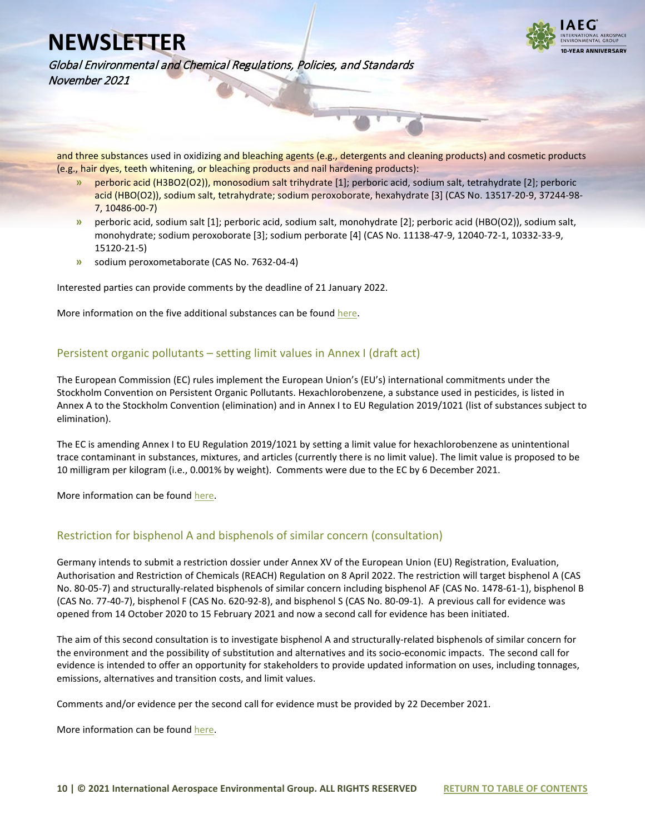

Global Environmental and Chemical Regulations, Policies, and Standards November 2021

and three substances used in oxidizing and bleaching agents (e.g., detergents and cleaning products) and cosmetic products (e.g., hair dyes, teeth whitening, or bleaching products and nail hardening products):

- **»** perboric acid (H3BO2(O2)), monosodium salt trihydrate [1]; perboric acid, sodium salt, tetrahydrate [2]; perboric acid (HBO(O2)), sodium salt, tetrahydrate; sodium peroxoborate, hexahydrate [3] (CAS No. 13517-20-9, 37244-98- 7, 10486-00-7)
- **»** perboric acid, sodium salt [1]; perboric acid, sodium salt, monohydrate [2]; perboric acid (HBO(O2)), sodium salt, monohydrate; sodium peroxoborate [3]; sodium perborate [4] (CAS No. 11138-47-9, 12040-72-1, 10332-33-9, 15120-21-5)
- **»** sodium peroxometaborate (CAS No. 7632-04-4)

Interested parties can provide comments by the deadline of 21 January 2022.

More information on the five additional substances can be foun[d here.](https://echa.europa.eu/nl/harmonised-classification-and-labelling-consultation?p_p_id=viewsubstances_WAR_echarevsubstanceportlet&p_p_lifecycle=0&p_p_state=normal&p_p_mode=view&_viewsubstances_WAR_echarevsubstanceportlet_cur=1&_viewsubstances_WAR_echarevsubstanceportlet_delta=50&_viewsubstances_WAR_echarevsubstanceportlet_orderByCol=synonymDynamicField_1350&_viewsubstances_WAR_echarevsubstanceportlet_orderByType=desc)

#### <span id="page-9-0"></span>Persistent organic pollutants – setting limit values in Annex I (draft act)

The European Commission (EC) rules implement the European Union's (EU's) international commitments under the Stockholm Convention on Persistent Organic Pollutants. Hexachlorobenzene, a substance used in pesticides, is listed in Annex A to the Stockholm Convention (elimination) and in Annex I to EU Regulation 2019/1021 (list of substances subject to elimination).

The EC is amending Annex I to EU Regulation 2019/1021 by setting a limit value for hexachlorobenzene as unintentional trace contaminant in substances, mixtures, and articles (currently there is no limit value). The limit value is proposed to be 10 milligram per kilogram (i.e., 0.001% by weight). Comments were due to the EC by 6 December 2021.

More information can be foun[d here.](https://ec.europa.eu/info/law/better-regulation/have-your-say/initiatives/13063-Persistent-organic-pollutants-setting-limit-values-in-Annex-I-update-_en)

#### <span id="page-9-1"></span>Restriction for bisphenol A and bisphenols of similar concern (consultation)

Germany intends to submit a restriction dossier under Annex XV of the European Union (EU) Registration, Evaluation, Authorisation and Restriction of Chemicals (REACH) Regulation on 8 April 2022. The restriction will target bisphenol A (CAS No. 80-05-7) and structurally-related bisphenols of similar concern including bisphenol AF (CAS No. 1478-61-1), bisphenol B (CAS No. 77-40-7), bisphenol F (CAS No. 620-92-8), and bisphenol S (CAS No. 80-09-1). A previous call for evidence was opened from 14 October 2020 to 15 February 2021 and now a second call for evidence has been initiated.

The aim of this second consultation is to investigate bisphenol A and structurally-related bisphenols of similar concern for the environment and the possibility of substitution and alternatives and its socio-economic impacts. The second call for evidence is intended to offer an opportunity for stakeholders to provide updated information on uses, including tonnages, emissions, alternatives and transition costs, and limit values.

Comments and/or evidence per the second call for evidence must be provided by 22 December 2021.

More information can be foun[d here.](https://echa.europa.eu/de/calls-for-comments-and-evidence/-/substance-rev/67501/term?utm_source=echa-weekly&utm_medium=email&utm_campaign=weekly&utm_content=20211103&_cldee=ai5zYW50aW5hemNvbmFAeW9yZGFzZ3JvdXAuY29t&recipientid=lead-665f7e877885eb11812a005056b9310e-7dce7fd35bc34c9ca12a32debdaa415c&esid=314fe800-893c-ec11-8131-005056b9310e)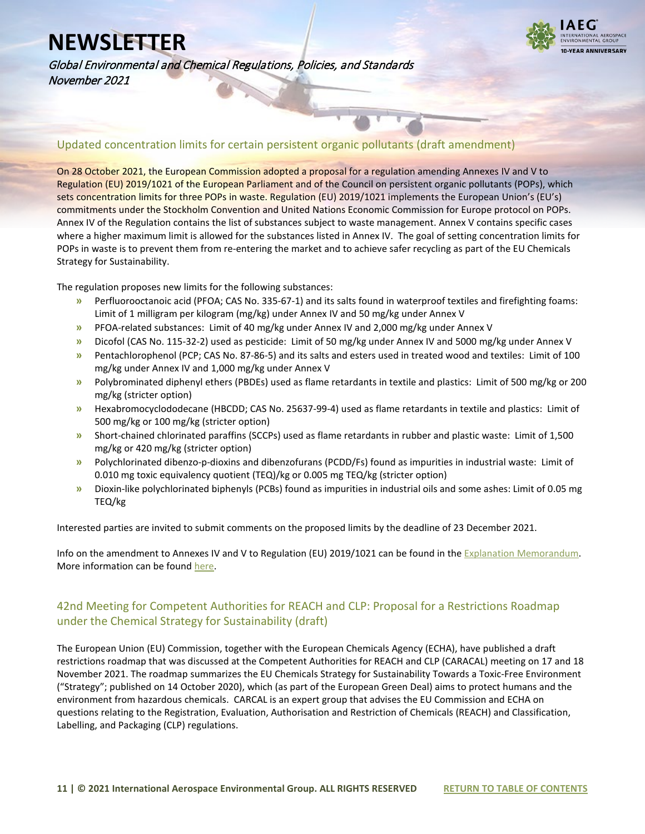

Global Environmental and Chemical Regulations, Policies, and Standards November 2021

<span id="page-10-0"></span>Updated concentration limits for certain persistent organic pollutants (draft amendment)

On 28 October 2021, the European Commission adopted a proposal for a regulation amending Annexes IV and V to Regulation (EU) 2019/1021 of the European Parliament and of the Council on persistent organic pollutants (POPs), which sets concentration limits for three POPs in waste. Regulation (EU) 2019/1021 implements the European Union's (EU's) commitments under the Stockholm Convention and United Nations Economic Commission for Europe protocol on POPs. Annex IV of the Regulation contains the list of substances subject to waste management. Annex V contains specific cases where a higher maximum limit is allowed for the substances listed in Annex IV. The goal of setting concentration limits for POPs in waste is to prevent them from re-entering the market and to achieve safer recycling as part of the EU Chemicals Strategy for Sustainability.

The regulation proposes new limits for the following substances:

- **»** Perfluorooctanoic acid (PFOA; CAS No. 335-67-1) and its salts found in waterproof textiles and firefighting foams: Limit of 1 milligram per kilogram (mg/kg) under Annex IV and 50 mg/kg under Annex V
- **»** PFOA-related substances: Limit of 40 mg/kg under Annex IV and 2,000 mg/kg under Annex V
- **»** Dicofol (CAS No. 115-32-2) used as pesticide: Limit of 50 mg/kg under Annex IV and 5000 mg/kg under Annex V
- **»** Pentachlorophenol (PCP; CAS No. 87-86-5) and its salts and esters used in treated wood and textiles: Limit of 100 mg/kg under Annex IV and 1,000 mg/kg under Annex V
- **»** Polybrominated diphenyl ethers (PBDEs) used as flame retardants in textile and plastics: Limit of 500 mg/kg or 200 mg/kg (stricter option)
- **»** Hexabromocyclododecane (HBCDD; CAS No. 25637-99-4) used as flame retardants in textile and plastics: Limit of 500 mg/kg or 100 mg/kg (stricter option)
- **»** Short-chained chlorinated paraffins (SCCPs) used as flame retardants in rubber and plastic waste: Limit of 1,500 mg/kg or 420 mg/kg (stricter option)
- **»** Polychlorinated dibenzo-p-dioxins and dibenzofurans (PCDD/Fs) found as impurities in industrial waste: Limit of 0.010 mg toxic equivalency quotient (TEQ)/kg or 0.005 mg TEQ/kg (stricter option)
- **»** Dioxin-like polychlorinated biphenyls (PCBs) found as impurities in industrial oils and some ashes: Limit of 0.05 mg TEQ/kg

Interested parties are invited to submit comments on the proposed limits by the deadline of 23 December 2021.

Info on the amendment to Annexes IV and V to Regulation (EU) 2019/1021 can be found in the Explanation Memorandum. More information can be foun[d here.](https://ec.europa.eu/info/law/better-regulation/have-your-say/initiatives/12411-Hazardous-waste-updated-concentration-limits-for-chemical-pollutants_en)

#### <span id="page-10-1"></span>42nd Meeting for Competent Authorities for REACH and CLP: Proposal for a Restrictions Roadmap under the Chemical Strategy for Sustainability (draft)

The European Union (EU) Commission, together with the European Chemicals Agency (ECHA), have published a draft restrictions roadmap that was discussed at the Competent Authorities for REACH and CLP (CARACAL) meeting on 17 and 18 November 2021. The roadmap summarizes the EU Chemicals Strategy for Sustainability Towards a Toxic-Free Environment ("Strategy"; published on 14 October 2020), which (as part of the European Green Deal) aims to protect humans and the environment from hazardous chemicals. CARCAL is an expert group that advises the EU Commission and ECHA on questions relating to the Registration, Evaluation, Authorisation and Restriction of Chemicals (REACH) and Classification, Labelling, and Packaging (CLP) regulations.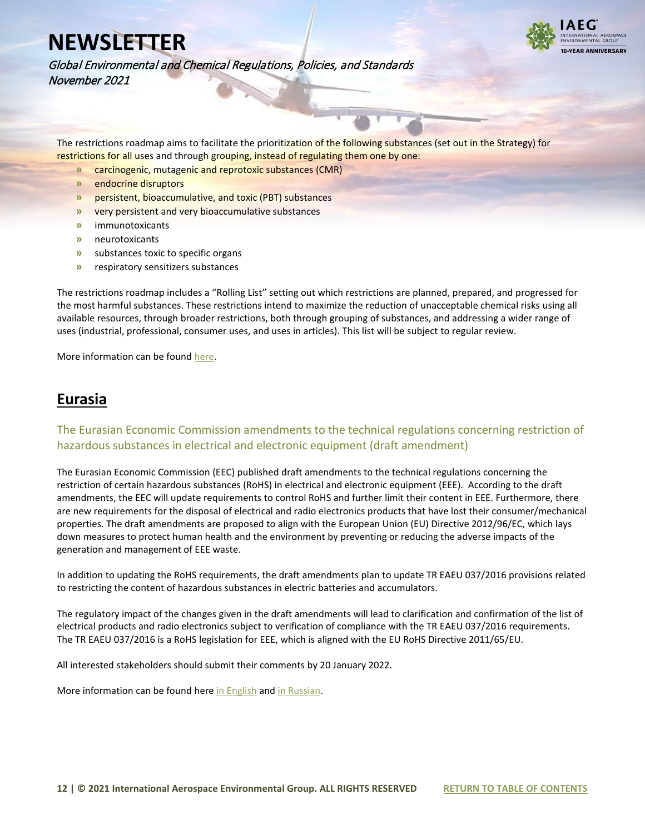

Global Environmental and Chemical Regulations, Policies, and Standards November 2021

The restrictions roadmap aims to facilitate the prioritization of the following substances (set out in the Strategy) for restrictions for all uses and through grouping, instead of regulating them one by one:

- **»** carcinogenic, mutagenic and reprotoxic substances (CMR)
- **»** endocrine disruptors
- **»** persistent, bioaccumulative, and toxic (PBT) substances
- **»** very persistent and very bioaccumulative substances
- **»** immunotoxicants
- **»** neurotoxicants
- **»** substances toxic to specific organs
- **»** respiratory sensitizers substances

The restrictions roadmap includes a "Rolling List" setting out which restrictions are planned, prepared, and progressed for the most harmful substances. These restrictions intend to maximize the reduction of unacceptable chemical risks using all available resources, through broader restrictions, both through grouping of substances, and addressing a wider range of uses (industrial, professional, consumer uses, and uses in articles). This list will be subject to regular review.

More information can be foun[d here.](https://www.iaeg.com/elements/pdf/EU_CARACAL_Draft_Restriction_Roadmap.pdf)

### <span id="page-11-0"></span>**Eurasia**

<span id="page-11-1"></span>The Eurasian Economic Commission amendments to the technical regulations concerning restriction of hazardous substances in electrical and electronic equipment (draft amendment)

The Eurasian Economic Commission (EEC) published draft amendments to the technical regulations concerning the restriction of certain hazardous substances (RoHS) in electrical and electronic equipment (EEE). According to the draft amendments, the EEC will update requirements to control RoHS and further limit their content in EEE. Furthermore, there are new requirements for the disposal of electrical and radio electronics products that have lost their consumer/mechanical properties. The draft amendments are proposed to align with the European Union (EU) Directive 2012/96/EC, which lays down measures to protect human health and the environment by preventing or reducing the adverse impacts of the generation and management of EEE waste.

In addition to updating the RoHS requirements, the draft amendments plan to update TR EAEU 037/2016 provisions related to restricting the content of hazardous substances in electric batteries and accumulators.

The regulatory impact of the changes given in the draft amendments will lead to clarification and confirmation of the list of electrical products and radio electronics subject to verification of compliance with the TR EAEU 037/2016 requirements. The TR EAEU 037/2016 is a RoHS legislation for EEE, which is aligned with the EU RoHS Directive 2011/65/EU.

All interested stakeholders should submit their comments by 20 January 2022.

More information can be found her[e in English](https://www.iaeg.com/elements/pdf/Eurasia_Draft_RoHS_Regulation_Amendment_english.pdf) an[d in Russian.](https://docs.eaeunion.org/pd/ru-ru/0106720/pd_25102021)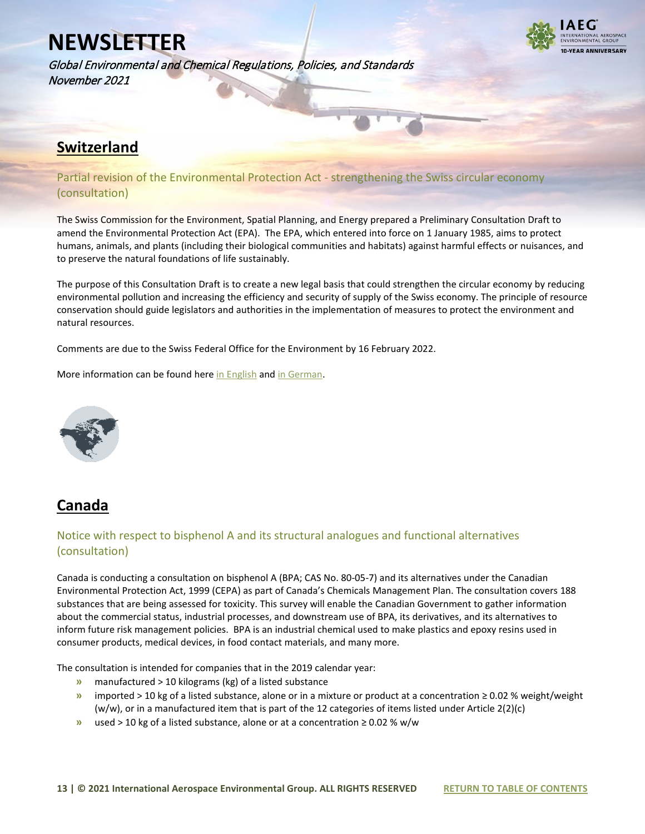Global Environmental and Chemical Regulations, Policies, and Standards November 2021



### <span id="page-12-0"></span>**Switzerland**

#### <span id="page-12-1"></span>Partial revision of the Environmental Protection Act - strengthening the Swiss circular economy (consultation)

The Swiss Commission for the Environment, Spatial Planning, and Energy prepared a Preliminary Consultation Draft to amend the Environmental Protection Act (EPA). The EPA, which entered into force on 1 January 1985, aims to protect humans, animals, and plants (including their biological communities and habitats) against harmful effects or nuisances, and to preserve the natural foundations of life sustainably.

The purpose of this Consultation Draft is to create a new legal basis that could strengthen the circular economy by reducing environmental pollution and increasing the efficiency and security of supply of the Swiss economy. The principle of resource conservation should guide legislators and authorities in the implementation of measures to protect the environment and natural resources.

Comments are due to the Swiss Federal Office for the Environment by 16 February 2022.

More information can be found her[e in English](https://www.iaeg.com/elements/pdf/CHE_Consultation_Draft_english.pdf) and [in German.](https://www.fedlex.admin.ch/de/consultation-procedures/ongoing#https://fedlex.data.admin.ch/eli/dl/proj/2021/107/cons_1) 

<span id="page-12-2"></span>

### <span id="page-12-3"></span>**Canada**

#### <span id="page-12-4"></span>Notice with respect to bisphenol A and its structural analogues and functional alternatives (consultation)

Canada is conducting a consultation on bisphenol A (BPA; CAS No. 80-05-7) and its alternatives under the Canadian Environmental Protection Act, 1999 (CEPA) as part of Canada's Chemicals Management Plan. The consultation covers 188 substances that are being assessed for toxicity. This survey will enable the Canadian Government to gather information about the commercial status, industrial processes, and downstream use of BPA, its derivatives, and its alternatives to inform future risk management policies. BPA is an industrial chemical used to make plastics and epoxy resins used in consumer products, medical devices, in food contact materials, and many more.

The consultation is intended for companies that in the 2019 calendar year:

- **»** manufactured > 10 kilograms (kg) of a listed substance
- **»** imported > 10 kg of a listed substance, alone or in a mixture or product at a concentration ≥ 0.02 % weight/weight (w/w), or in a manufactured item that is part of the 12 categories of items listed under Article 2(2)(c)
- **»** used > 10 kg of a listed substance, alone or at a concentration ≥ 0.02 % w/w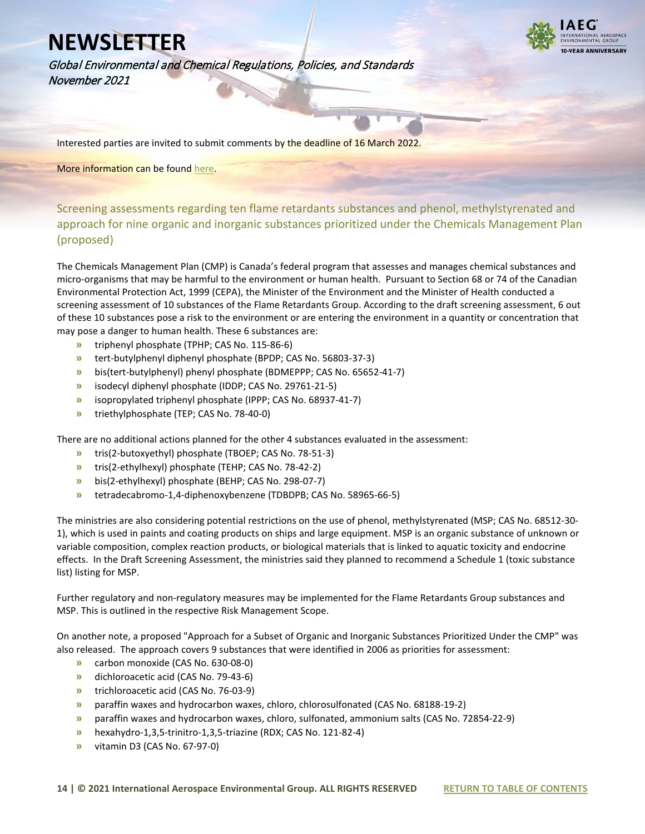**I-VEAR ANNIVERSARY** 

Global Environmental and Chemical Regulations, Policies, and Standards November 2021

Interested parties are invited to submit comments by the deadline of 16 March 2022.

More information can be found [here.](https://canadagazette.gc.ca/rp-pr/p1/2021/2021-11-13/html/notice-avis-eng.html#na2)

<span id="page-13-0"></span>Screening assessments regarding ten flame retardants substances and phenol, methylstyrenated and approach for nine organic and inorganic substances prioritized under the Chemicals Management Plan (proposed)

The Chemicals Management Plan (CMP) is Canada's federal program that assesses and manages chemical substances and micro-organisms that may be harmful to the environment or human health. Pursuant to Section 68 or 74 of the Canadian Environmental Protection Act, 1999 (CEPA), the Minister of the Environment and the Minister of Health conducted a screening assessment of 10 substances of the Flame Retardants Group. According to the draft screening assessment, 6 out of these 10 substances pose a risk to the environment or are entering the environment in a quantity or concentration that may pose a danger to human health. These 6 substances are:

- **»** triphenyl phosphate (TPHP; CAS No. 115-86-6)
- **»** tert-butylphenyl diphenyl phosphate (BPDP; CAS No. 56803-37-3)
- **»** bis(tert-butylphenyl) phenyl phosphate (BDMEPPP; CAS No. 65652-41-7)
- **»** isodecyl diphenyl phosphate (IDDP; CAS No. 29761-21-5)
- **»** isopropylated triphenyl phosphate (IPPP; CAS No. 68937-41-7)
- **»** triethylphosphate (TEP; CAS No. 78-40-0)

There are no additional actions planned for the other 4 substances evaluated in the assessment:

- **»** tris(2-butoxyethyl) phosphate (TBOEP; CAS No. 78-51-3)
- **»** tris(2-ethylhexyl) phosphate (TEHP; CAS No. 78-42-2)
- **»** bis(2-ethylhexyl) phosphate (BEHP; CAS No. 298-07-7)
- **»** tetradecabromo-1,4-diphenoxybenzene (TDBDPB; CAS No. 58965-66-5)

The ministries are also considering potential restrictions on the use of phenol, methylstyrenated (MSP; CAS No. 68512-30- 1), which is used in paints and coating products on ships and large equipment. MSP is an organic substance of unknown or variable composition, complex reaction products, or biological materials that is linked to aquatic toxicity and endocrine effects. In the Draft Screening Assessment, the ministries said they planned to recommend a Schedule 1 (toxic substance list) listing for MSP.

Further regulatory and non-regulatory measures may be implemented for the Flame Retardants Group substances and MSP. This is outlined in the respective Risk Management Scope.

On another note, a proposed "Approach for a Subset of Organic and Inorganic Substances Prioritized Under the CMP" was also released. The approach covers 9 substances that were identified in 2006 as priorities for assessment:

- **»** carbon monoxide (CAS No. 630-08-0)
- **»** dichloroacetic acid (CAS No. 79-43-6)
- **»** trichloroacetic acid (CAS No. 76-03-9)
- **»** paraffin waxes and hydrocarbon waxes, chloro, chlorosulfonated (CAS No. 68188-19-2)
- **»** paraffin waxes and hydrocarbon waxes, chloro, sulfonated, ammonium salts (CAS No. 72854-22-9)
- **»** hexahydro-1,3,5-trinitro-1,3,5-triazine (RDX; CAS No. 121-82-4)
- **»** vitamin D3 (CAS No. 67-97-0)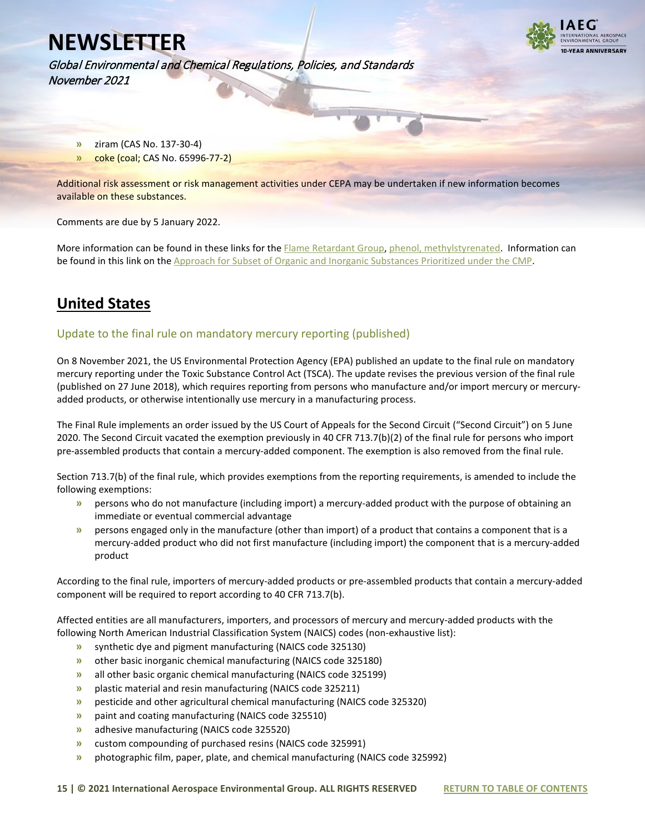

Global Environmental and Chemical Regulations, Policies, and Standards November 2021

- **»** ziram (CAS No. 137-30-4)
- **»** coke (coal; CAS No. 65996-77-2)

Additional risk assessment or risk management activities under CEPA may be undertaken if new information becomes available on these substances.

Comments are due by 5 January 2022.

More information can be found in these links for th[e Flame Retardant Group,](https://www.canada.ca/en/health-canada/services/chemical-substances/chemicals-management-plan-3-substances/flame-retardants-group.html) phenol, [methylstyrenated.](https://www.canada.ca/en/health-canada/services/chemical-substances/chemicals-management-plan-3-substances/phenol-methylstyrenated.html) Information can be found in this link on the [Approach for Subset of Organic and Inorganic Substances Prioritized under the CMP.](https://www.canada.ca/en/health-canada/services/chemical-substances/chemicals-management-plan-3-substances/approach-subset-organic-inorganic-substances-prioritized-chemicals-management-plan.html) 

### <span id="page-14-0"></span>**United States**

#### <span id="page-14-1"></span>Update to the final rule on mandatory mercury reporting (published)

On 8 November 2021, the US Environmental Protection Agency (EPA) published an update to the final rule on mandatory mercury reporting under the Toxic Substance Control Act (TSCA). The update revises the previous version of the final rule (published on 27 June 2018), which requires reporting from persons who manufacture and/or import mercury or mercuryadded products, or otherwise intentionally use mercury in a manufacturing process.

The Final Rule implements an order issued by the US Court of Appeals for the Second Circuit ("Second Circuit") on 5 June 2020. The Second Circuit vacated the exemption previously in 40 CFR 713.7(b)(2) of the final rule for persons who import pre-assembled products that contain a mercury-added component. The exemption is also removed from the final rule.

Section 713.7(b) of the final rule, which provides exemptions from the reporting requirements, is amended to include the following exemptions:

- **»** persons who do not manufacture (including import) a mercury-added product with the purpose of obtaining an immediate or eventual commercial advantage
- **»** persons engaged only in the manufacture (other than import) of a product that contains a component that is a mercury-added product who did not first manufacture (including import) the component that is a mercury-added product

According to the final rule, importers of mercury-added products or pre-assembled products that contain a mercury-added component will be required to report according to 40 CFR 713.7(b).

Affected entities are all manufacturers, importers, and processors of mercury and mercury-added products with the following North American Industrial Classification System (NAICS) codes (non-exhaustive list):

- **»** synthetic dye and pigment manufacturing (NAICS code 325130)
- **»** other basic inorganic chemical manufacturing (NAICS code 325180)
- **»** all other basic organic chemical manufacturing (NAICS code 325199)
- **»** plastic material and resin manufacturing (NAICS code 325211)
- **»** pesticide and other agricultural chemical manufacturing (NAICS code 325320)
- **»** paint and coating manufacturing (NAICS code 325510)
- **»** adhesive manufacturing (NAICS code 325520)
- **»** custom compounding of purchased resins (NAICS code 325991)
- **»** photographic film, paper, plate, and chemical manufacturing (NAICS code 325992)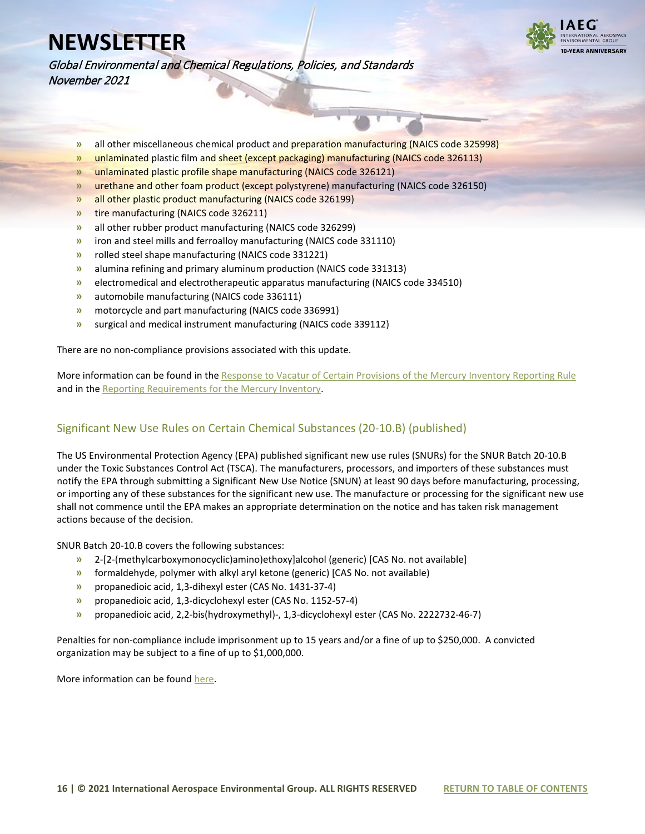

Global Environmental and Chemical Regulations, Policies, and Standards November 2021

- **»** all other miscellaneous chemical product and preparation manufacturing (NAICS code 325998)
- **»** unlaminated plastic film and sheet (except packaging) manufacturing (NAICS code 326113)
- **»** unlaminated plastic profile shape manufacturing (NAICS code 326121)
- **»** urethane and other foam product (except polystyrene) manufacturing (NAICS code 326150)
- **»** all other plastic product manufacturing (NAICS code 326199)
- **»** tire manufacturing (NAICS code 326211)
- **»** all other rubber product manufacturing (NAICS code 326299)
- **»** iron and steel mills and ferroalloy manufacturing (NAICS code 331110)
- **»** rolled steel shape manufacturing (NAICS code 331221)
- **»** alumina refining and primary aluminum production (NAICS code 331313)
- **»** electromedical and electrotherapeutic apparatus manufacturing (NAICS code 334510)
- **»** automobile manufacturing (NAICS code 336111)
- **»** motorcycle and part manufacturing (NAICS code 336991)
- **»** surgical and medical instrument manufacturing (NAICS code 339112)

There are no non-compliance provisions associated with this update.

More information can be found in th[e Response to Vacatur of Certain Provisions of the Mercury Inventory Reporting Rule](https://www.federalregister.gov/documents/2021/11/08/2021-24209/response-to-vacatur-of-certain-provisions-of-the-mercury-inventory-reporting-rule) and in th[e Reporting Requirements for the Mercury Inventory.](https://www.epa.gov/mercury/reporting-requirements-mercury-inventory-toxic-substances-control-act)

#### <span id="page-15-0"></span>Significant New Use Rules on Certain Chemical Substances (20-10.B) (published)

The US Environmental Protection Agency (EPA) published significant new use rules (SNURs) for the SNUR Batch 20-10.B under the Toxic Substances Control Act (TSCA). The manufacturers, processors, and importers of these substances must notify the EPA through submitting a Significant New Use Notice (SNUN) at least 90 days before manufacturing, processing, or importing any of these substances for the significant new use. The manufacture or processing for the significant new use shall not commence until the EPA makes an appropriate determination on the notice and has taken risk management actions because of the decision.

SNUR Batch 20-10.B covers the following substances:

- **»** 2-[2-(methylcarboxymonocyclic)amino)ethoxy]alcohol (generic) [CAS No. not available]
- **»** formaldehyde, polymer with alkyl aryl ketone (generic) [CAS No. not available)
- **»** propanedioic acid, 1,3-dihexyl ester (CAS No. 1431-37-4)
- **»** propanedioic acid, 1,3-dicyclohexyl ester (CAS No. 1152-57-4)
- **»** propanedioic acid, 2,2-bis(hydroxymethyl)-, 1,3-dicyclohexyl ester (CAS No. 2222732-46-7)

Penalties for non-compliance include imprisonment up to 15 years and/or a fine of up to \$250,000. A convicted organization may be subject to a fine of up to \$1,000,000.

More information can be foun[d here.](https://www.federalregister.gov/documents/2021/11/15/2021-24789/significant-new-use-rules-on-certain-chemical-substances-20-10b)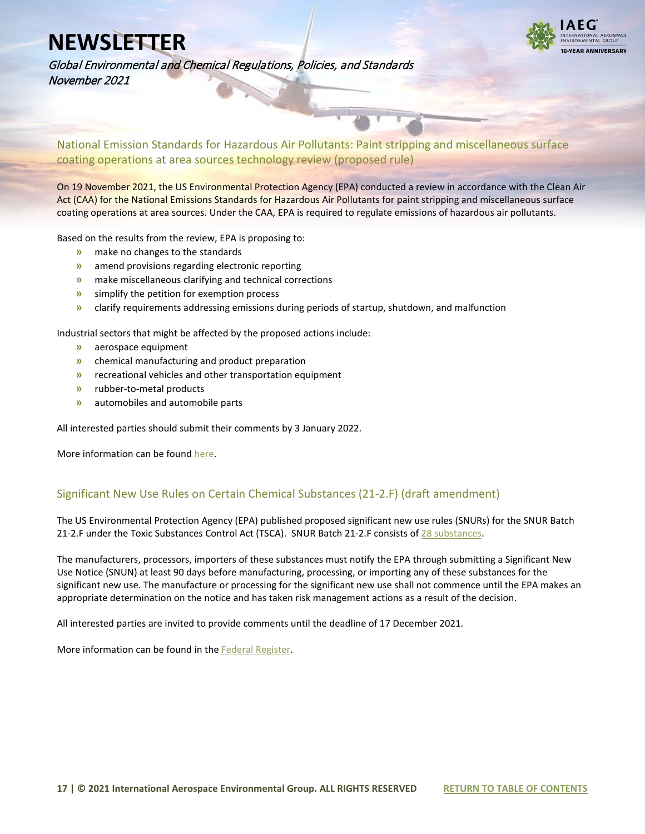

Global Environmental and Chemical Regulations, Policies, and Standards November 2021

<span id="page-16-0"></span>National Emission Standards for Hazardous Air Pollutants: Paint stripping and miscellaneous surface coating operations at area sources technology review (proposed rule)

On 19 November 2021, the US Environmental Protection Agency (EPA) conducted a review in accordance with the Clean Air Act (CAA) for the National Emissions Standards for Hazardous Air Pollutants for paint stripping and miscellaneous surface coating operations at area sources. Under the CAA, EPA is required to regulate emissions of hazardous air pollutants.

Based on the results from the review, EPA is proposing to:

- **»** make no changes to the standards
- **»** amend provisions regarding electronic reporting
- **»** make miscellaneous clarifying and technical corrections
- **»** simplify the petition for exemption process
- **»** clarify requirements addressing emissions during periods of startup, shutdown, and malfunction

Industrial sectors that might be affected by the proposed actions include:

- **»** aerospace equipment
- **»** chemical manufacturing and product preparation
- **»** recreational vehicles and other transportation equipment
- **»** rubber-to-metal products
- **»** automobiles and automobile parts

All interested parties should submit their comments by 3 January 2022.

More information can be foun[d here.](https://www.federalregister.gov/documents/2021/11/19/2021-24203/national-emission-standards-for-hazardous-air-pollutants-paint-stripping-and-miscellaneous-surface)

#### <span id="page-16-1"></span>Significant New Use Rules on Certain Chemical Substances (21-2.F) (draft amendment)

The US Environmental Protection Agency (EPA) published proposed significant new use rules (SNURs) for the SNUR Batch 21-2.F under the Toxic Substances Control Act (TSCA). SNUR Batch 21-2.F consists of [28 substances.](https://www.iaeg.com/elements/pdf/USA_SNURs_Batch_21-2.F_Substance_List.pdf)

The manufacturers, processors, importers of these substances must notify the EPA through submitting a Significant New Use Notice (SNUN) at least 90 days before manufacturing, processing, or importing any of these substances for the significant new use. The manufacture or processing for the significant new use shall not commence until the EPA makes an appropriate determination on the notice and has taken risk management actions as a result of the decision.

All interested parties are invited to provide comments until the deadline of 17 December 2021.

<span id="page-16-2"></span>More information can be found in th[e Federal Register.](https://www.federalregister.gov/documents/2021/11/17/2021-24785/significant-new-use-rules-on-certain-chemical-substances-21-2f)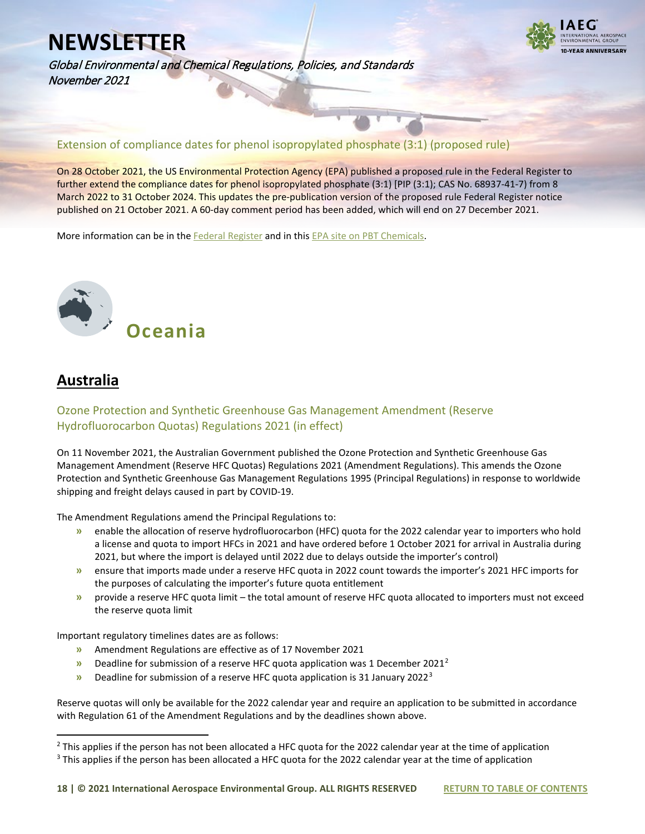

Global Environmental and Chemical Regulations, Policies, and Standards November 2021

#### Extension of compliance dates for phenol isopropylated phosphate (3:1) (proposed rule)

On 28 October 2021, the US Environmental Protection Agency (EPA) published a proposed rule in the Federal Register to further extend the compliance dates for phenol isopropylated phosphate (3:1) [PIP (3:1); CAS No. 68937-41-7) from 8 March 2022 to 31 October 2024. This updates the pre-publication version of the proposed rule Federal Register notice published on 21 October 2021. A 60-day comment period has been added, which will end on 27 December 2021.

More information can be in the [Federal Register](https://www.federalregister.gov/documents/2021/10/28/2021-23337/regulation-of-persistent-bioaccumulative-and-toxic-chemicals-under-tsca-section-6h-phenol) and in this [EPA site on PBT Chemicals.](https://www.epa.gov/assessing-and-managing-chemicals-under-tsca/persistent-bioaccumulative-and-toxic-pbt-chemicals)

# <span id="page-17-0"></span> **Oceania**

### <span id="page-17-1"></span>**Australia**

#### <span id="page-17-2"></span>Ozone Protection and Synthetic Greenhouse Gas Management Amendment (Reserve Hydrofluorocarbon Quotas) Regulations 2021 (in effect)

On 11 November 2021, the Australian Government published the Ozone Protection and Synthetic Greenhouse Gas Management Amendment (Reserve HFC Quotas) Regulations 2021 (Amendment Regulations). This amends the Ozone Protection and Synthetic Greenhouse Gas Management Regulations 1995 (Principal Regulations) in response to worldwide shipping and freight delays caused in part by COVID-19.

The Amendment Regulations amend the Principal Regulations to:

- **»** enable the allocation of reserve hydrofluorocarbon (HFC) quota for the 2022 calendar year to importers who hold a license and quota to import HFCs in 2021 and have ordered before 1 October 2021 for arrival in Australia during 2021, but where the import is delayed until 2022 due to delays outside the importer's control)
- **»** ensure that imports made under a reserve HFC quota in 2022 count towards the importer's 2021 HFC imports for the purposes of calculating the importer's future quota entitlement
- **»** provide a reserve HFC quota limit the total amount of reserve HFC quota allocated to importers must not exceed the reserve quota limit

Important regulatory timelines dates are as follows:

- **»** Amendment Regulations are effective as of 17 November 2021
- **»** Deadline for submission of a reserve HFC quota application was 1 December 2021[2](#page-17-3)
- **»** Deadline for submission of a reserve HFC quota application is 31 January 2022[3](#page-17-4)

Reserve quotas will only be available for the 2022 calendar year and require an application to be submitted in accordance with Regulation 61 of the Amendment Regulations and by the deadlines shown above.

<span id="page-17-3"></span> $2$  This applies if the person has not been allocated a HFC quota for the 2022 calendar year at the time of application

<span id="page-17-4"></span><sup>&</sup>lt;sup>3</sup> This applies if the person has been allocated a HFC quota for the 2022 calendar year at the time of application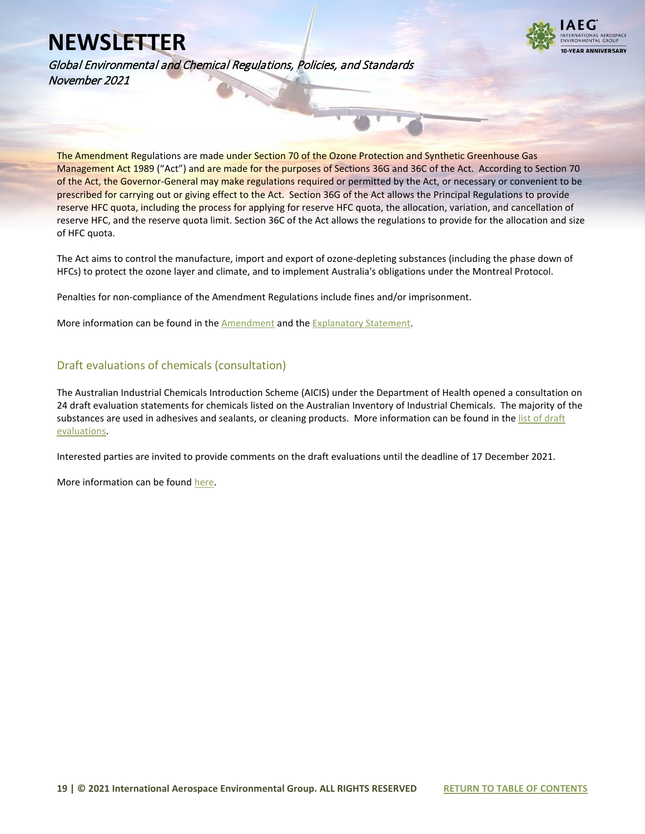

Global Environmental and Chemical Regulations, Policies, and Standards November 2021

The Amendment Regulations are made under Section 70 of the Ozone Protection and Synthetic Greenhouse Gas Management Act 1989 ("Act") and are made for the purposes of Sections 36G and 36C of the Act. According to Section 70 of the Act, the Governor-General may make regulations required or permitted by the Act, or necessary or convenient to be prescribed for carrying out or giving effect to the Act. Section 36G of the Act allows the Principal Regulations to provide reserve HFC quota, including the process for applying for reserve HFC quota, the allocation, variation, and cancellation of reserve HFC, and the reserve quota limit. Section 36C of the Act allows the regulations to provide for the allocation and size of HFC quota.

The Act aims to control the manufacture, import and export of ozone-depleting substances (including the phase down of HFCs) to protect the ozone layer and climate, and to implement Australia's obligations under the Montreal Protocol.

Penalties for non-compliance of the Amendment Regulations include fines and/or imprisonment.

More information can be found in th[e Amendment](https://www.legislation.gov.au/Details/F2021L01564/Explanatory%20Statement/Text) and th[e Explanatory Statement.](https://www.legislation.gov.au/Details/F2021L01564/Explanatory%20Statement/Text)

#### <span id="page-18-0"></span>Draft evaluations of chemicals (consultation)

The Australian Industrial Chemicals Introduction Scheme (AICIS) under the Department of Health opened a consultation on 24 draft evaluation statements for chemicals listed on the Australian Inventory of Industrial Chemicals. The majority of the substances are used in adhesives and sealants, or cleaning products. More information can be found in the list of draft [evaluations.](https://www.industrialchemicals.gov.au/consultations/draft-evaluations-have-your-say-closes-17-december-2021#draftevaluations)

Interested parties are invited to provide comments on the draft evaluations until the deadline of 17 December 2021.

More information can be found [here.](https://www.industrialchemicals.gov.au/consultations/draft-evaluations-have-your-say-closes-17-december-2021#draftevaluations)